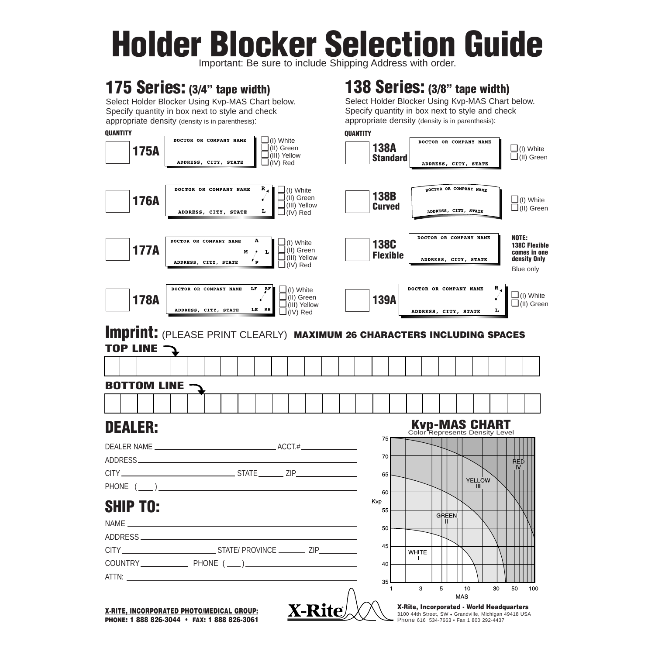# **Holder Blocker Selection Guide**

Important: Be sure to include Shipping Address with ord

## **175 Series: (3/4" tape width)**

Select Holder Blocker Using Kvp-MAS Chart below. Specify quantity in box next to style and check appropriate density (density is in parenthesis):

### **138 Series: (3/8" tape width)**

Select Holder Blocker Using Kvp-MAS Chart below. Specify quantity in box next to style and check appropriate density (density is in parenthesis):



**PHONE: 1 888 826-3044 • FAX: 1 888 826-3061**

3100 44th Street, SW • Grandville, Michigan 49418 USA Phone 616 534-7663 • Fax 1 800 292-4437